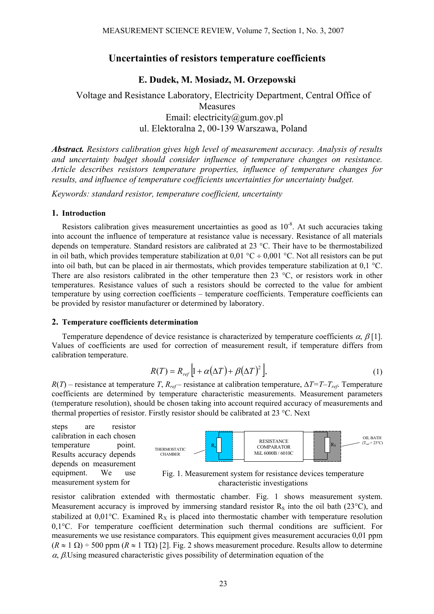# **Uncertainties of resistors temperature coefficients**

# **E. Dudek, M. Mosiadz, M. Orzepowski**

# Voltage and Resistance Laboratory, Electricity Department, Central Office of **Measures** Email: electricity@gum.gov.pl ul. Elektoralna 2, 00-139 Warszawa, Poland

*Abstract. Resistors calibration gives high level of measurement accuracy. Analysis of results and uncertainty budget should consider influence of temperature changes on resistance. Article describes resistors temperature properties, influence of temperature changes for results, and influence of temperature coefficients uncertainties for uncertainty budget.* 

*Keywords: standard resistor, temperature coefficient, uncertainty* 

### **1. Introduction**

Resistors calibration gives measurement uncertainties as good as  $10^{-8}$ . At such accuracies taking into account the influence of temperature at resistance value is necessary. Resistance of all materials depends on temperature. Standard resistors are calibrated at 23 °C. Their have to be thermostabilized in oil bath, which provides temperature stabilization at 0,01 °C ÷ 0,001 °C. Not all resistors can be put into oil bath, but can be placed in air thermostats, which provides temperature stabilization at 0,1 °C. There are also resistors calibrated in the other temperature then 23 °C, or resistors work in other temperatures. Resistance values of such a resistors should be corrected to the value for ambient temperature by using correction coefficients – temperature coefficients. Temperature coefficients can be provided by resistor manufacturer or determined by laboratory.

#### **2. Temperature coefficients determination**

Temperature dependence of device resistance is characterized by temperature coefficients  $\alpha$ ,  $\beta$ [1]. Values of coefficients are used for correction of measurement result, if temperature differs from calibration temperature.

$$
R(T) = R_{ref} \left[ 1 + \alpha (\Delta T) + \beta (\Delta T)^2 \right],\tag{1}
$$

 $R(T)$  – resistance at temperature *T*,  $R_{ref}$  – resistance at calibration temperature,  $\Delta T = T - T_{ref}$ . Temperature coefficients are determined by temperature characteristic measurements. Measurement parameters (temperature resolution), should be chosen taking into account required accuracy of measurements and thermal properties of resistor. Firstly resistor should be calibrated at 23 °C. Next

steps are resistor calibration in each chosen temperature point. Results accuracy depends depends on measurement equipment. We use measurement system for



Fig. 1. Measurement system for resistance devices temperature characteristic investigations

resistor calibration extended with thermostatic chamber. Fig. 1 shows measurement system. Measurement accuracy is improved by immersing standard resistor  $R_s$  into the oil bath (23 $^{\circ}$ C), and stabilized at  $0.01^{\circ}$ C. Examined R<sub>X</sub> is placed into thermostatic chamber with temperature resolution 0,1°C. For temperature coefficient determination such thermal conditions are sufficient. For measurements we use resistance comparators. This equipment gives measurement accuracies 0,01 ppm  $(R \approx 1 \Omega)$  ÷ 500 ppm  $(R \approx 1 \Omega)$  [2]. Fig. 2 shows measurement procedure. Results allow to determine  $\alpha$ ,  $\beta$ . Using measured characteristic gives possibility of determination equation of the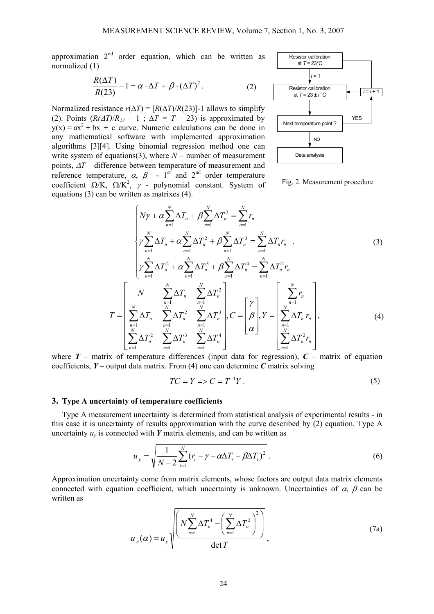approximation  $2<sup>nd</sup>$  order equation, which can be written as normalized (1)

$$
\frac{R(\Delta T)}{R(23)} - 1 = \alpha \cdot \Delta T + \beta \cdot (\Delta T)^{2}.
$$
 (2)

Normalized resistance  $r(\Delta T) = [R(\Delta T)/R(23)]$ -1 allows to simplify (2). Points  $(R(\Delta T)/R_{23} - 1$ ;  $\Delta T = T - 23$ ) is approximated by  $y(x) = ax^2 + bx + c$  curve. Numeric calculations can be done in any mathematical software with implemented approximation algorithms [3][4]. Using binomial regression method one can write system of equations(3), where  $N-$  number of measurement points, <sup>∆</sup>*T* – difference between temperature of measurement and reference temperature,  $\alpha$ ,  $\beta$  - 1<sup>st</sup> and 2<sup>nd</sup> order temperature coefficient  $\Omega/K$ ,  $\Omega/K^2$ ,  $\gamma$  - polynomial constant. System of equations (3) can be written as matrixes (4).



Fig. 2. Measurement procedure

$$
\begin{bmatrix}\nN\gamma + \alpha \sum_{n=1}^{N} \Delta T_n + \beta \sum_{n=1}^{N} \Delta T_n^2 = \sum_{n=1}^{N} r_n \\
\gamma \sum_{n=1}^{N} \Delta T_n + \alpha \sum_{n=1}^{N} \Delta T_n^2 + \beta \sum_{n=1}^{N} \Delta T_n^3 = \sum_{n=1}^{N} \Delta T_n r_n \quad . \\
\gamma \sum_{n=1}^{N} \Delta T_n^2 + \alpha \sum_{n=1}^{N} \Delta T_n^3 + \beta \sum_{n=1}^{N} \Delta T_n^4 = \sum_{n=1}^{N} \Delta T_n^2 r_n \\
T = \begin{bmatrix}\nN & \sum_{n=1}^{N} \Delta T_n & \sum_{n=1}^{N} \Delta T_n^2 \\
\sum_{n=1}^{N} \Delta T_n & \sum_{n=1}^{N} \Delta T_n^2 & \sum_{n=1}^{N} \Delta T_n^3 \\
\sum_{n=1}^{N-1} \Delta T_n^2 & \sum_{n=1}^{N} \Delta T_n^3 & \sum_{n=1}^{N} \Delta T_n^4\n\end{bmatrix}, C = \begin{bmatrix}\n\gamma \\
\beta \\
\alpha\n\end{bmatrix}, Y = \begin{bmatrix}\n\sum_{n=1}^{N} r_n \\
\sum_{n=1}^{N} \Delta T_n r_n \\
\sum_{n=1}^{N} \Delta T_n^2 r_n\n\end{bmatrix},
$$
\n(4)

where  $T$  – matrix of temperature differences (input data for regression),  $C$  – matrix of equation coefficients,  $Y$  – output data matrix. From (4) one can determine  $C$  matrix solving

$$
TC = Y \Rightarrow C = T^{-1}Y. \tag{5}
$$

#### **3. Type A uncertainty of temperature coefficients**

Type A measurement uncertainty is determined from statistical analysis of experimental results - in this case it is uncertainty of results approximation with the curve described by (2) equation. Type A uncertainty  $u<sub>v</sub>$  is connected with *Y* matrix elements, and can be written as

$$
u_{y} = \sqrt{\frac{1}{N-2} \sum_{i=1}^{N} (r_i - \gamma - \alpha \Delta T_i - \beta \Delta T_i)^2}
$$
 (6)

Approximation uncertainty come from matrix elements, whose factors are output data matrix elements connected with equation coefficient, which uncertainty is unknown. Uncertainties of  $\alpha$ ,  $\beta$  can be written as

$$
u_A(\alpha) = u_y \sqrt{\frac{N \sum_{n=1}^{N} \Delta T_n^4 - \left(\sum_{n=1}^{N} \Delta T_n^2\right)^2}{\det T}},
$$
\n(7a)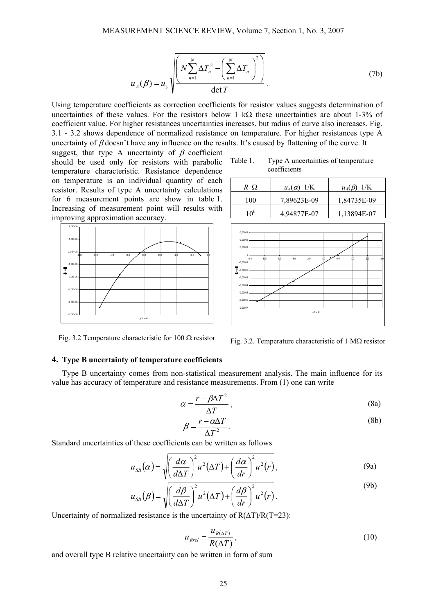$$
u_A(\beta) = u_y \sqrt{\frac{N \sum_{n=1}^{N} \Delta T_n^2 - \left(\sum_{n=1}^{N} \Delta T_n\right)^2}{\det T}}
$$
 (7b)

Using temperature coefficients as correction coefficients for resistor values suggests determination of uncertainties of these values. For the resistors below 1 kΩ these uncertainties are about 1-3% of coefficient value. For higher resistances uncertainties increases, but radius of curve also increases. Fig. 3.1 - 3.2 shows dependence of normalized resistance on temperature. For higher resistances type A uncertainty of  $\beta$  doesn't have any influence on the results. It's caused by flattening of the curve. It

suggest, that type A uncertainty of  $\beta$  coefficient should be used only for resistors with parabolic Table 1. temperature characteristic. Resistance dependence on temperature is an individual quantity of each resistor. Results of type A uncertainty calculations for 6 measurement points are show in table 1. Increasing of measurement point will results with improving approximation accuracy.



Type A uncertainties of temperature coefficients

| R Q             | $u_A(\alpha)$ 1/K | $u_A(\beta)$ 1/K |
|-----------------|-------------------|------------------|
| 100             | 7,89623E-09       | 1,84735E-09      |
| 10 <sup>6</sup> | 4,94877E-07       | 1,13894E-07      |



Fig. 3.2 Temperature characteristic for 100  $\Omega$  resistor

Fig. 3.2. Temperature characteristic of 1 M $\Omega$  resistor

## **4. Type B uncertainty of temperature coefficients**

Type B uncertainty comes from non-statistical measurement analysis. The main influence for its value has accuracy of temperature and resistance measurements. From (1) one can write

$$
\alpha = \frac{r - \beta \Delta T^2}{\Delta T},\tag{8a}
$$

$$
\beta = \frac{r - \alpha \Delta T}{\Delta T^2}.
$$
\n(8b)

Standard uncertainties of these coefficients can be written as follows

$$
u_{SB}(\alpha) = \sqrt{\left(\frac{d\alpha}{d\Delta T}\right)^2 u^2 (\Delta T) + \left(\frac{d\alpha}{dr}\right)^2 u^2(r)},
$$
\n(9a)

$$
u_{SB}(\beta) = \sqrt{\left(\frac{d\beta}{d\Delta T}\right)^2 u^2 (\Delta T) + \left(\frac{d\beta}{dr}\right)^2 u^2(r)}.
$$
\n(9b)

Uncertainty of normalized resistance is the uncertainty of  $R(\Delta T)/R(T=23)$ :

$$
u_{\text{Rrel}} = \frac{u_{\text{R}(\Delta T)}}{R(\Delta T)},\tag{10}
$$

and overall type B relative uncertainty can be written in form of sum